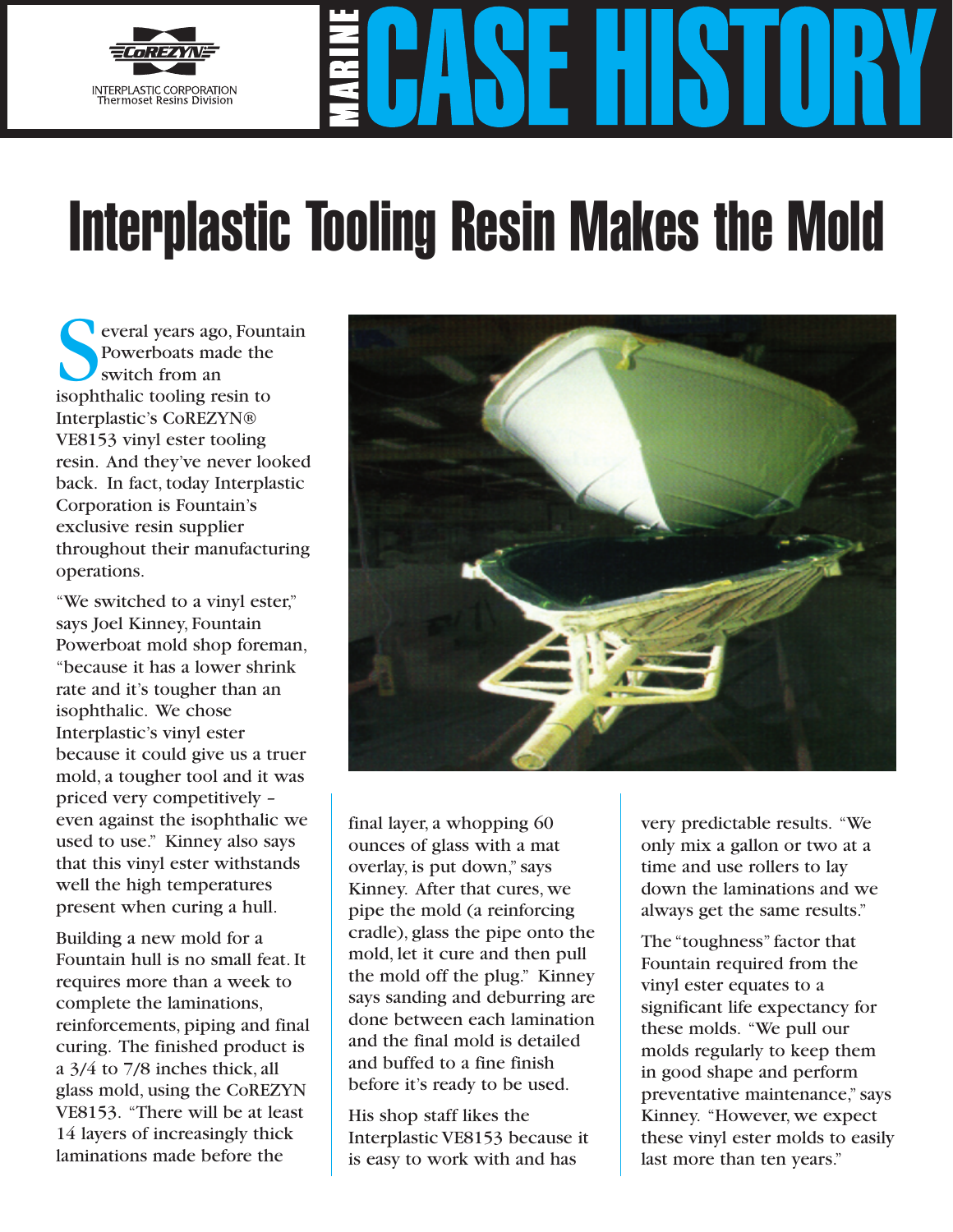

## Interplastic Tooling Resin Makes the Mold

everal years ago, Fountain Powerboats made the switch from an isophthalic tooling resin to Interplastic's CoREZYN® VE8153 vinyl ester tooling resin. And they've never looked back. In fact, today Interplastic Corporation is Fountain's exclusive resin supplier throughout their manufacturing operations.

"We switched to a vinyl ester," says Joel Kinney, Fountain Powerboat mold shop foreman, "because it has a lower shrink rate and it's tougher than an isophthalic. We chose Interplastic's vinyl ester because it could give us a truer mold, a tougher tool and it was priced very competitively – even against the isophthalic we used to use." Kinney also says that this vinyl ester withstands well the high temperatures present when curing a hull.

Building a new mold for a Fountain hull is no small feat. It requires more than a week to complete the laminations, reinforcements, piping and final curing. The finished product is a 3/4 to 7/8 inches thick, all glass mold, using the CoREZYN VE8153. "There will be at least 14 layers of increasingly thick laminations made before the



final layer, a whopping 60 ounces of glass with a mat overlay, is put down," says Kinney. After that cures, we pipe the mold (a reinforcing cradle), glass the pipe onto the mold, let it cure and then pull the mold off the plug." Kinney says sanding and deburring are done between each lamination and the final mold is detailed and buffed to a fine finish before it's ready to be used.

His shop staff likes the Interplastic VE8153 because it is easy to work with and has

very predictable results. "We only mix a gallon or two at a time and use rollers to lay down the laminations and we always get the same results."

The "toughness" factor that Fountain required from the vinyl ester equates to a significant life expectancy for these molds. "We pull our molds regularly to keep them in good shape and perform preventative maintenance," says Kinney. "However, we expect these vinyl ester molds to easily last more than ten years." **Aerial Photography, Inc. 1999**